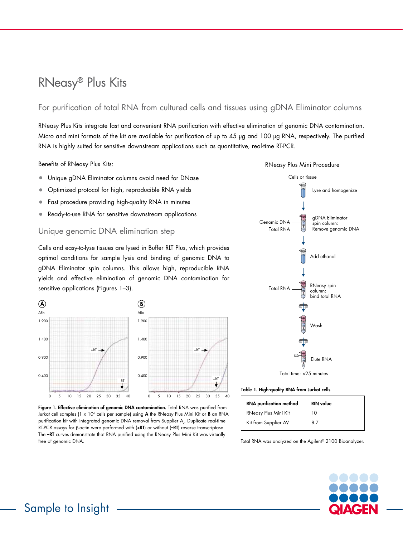# RNeasy® Plus Kits

# For purification of total RNA from cultured cells and tissues using gDNA Eliminator columns

RNeasy Plus Kits integrate fast and convenient RNA purification with effective elimination of genomic DNA contamination. Micro and mini formats of the kit are available for purification of up to 45 µg and 100 µg RNA, respectively. The purified RNA is highly suited for sensitive downstream applications such as quantitative, real-time RT-PCR.

Benefits of RNeasy Plus Kits:

- Unique gDNA Eliminator columns avoid need for DNase
- Optimized protocol for high, reproducible RNA yields
- Fast procedure providing high-quality RNA in minutes
- $\bullet$  Ready-to-use RNA for sensitive downstream applications

### Unique genomic DNA elimination step

Cells and easy-to-lyse tissues are lysed in Buffer RLT Plus, which provides optimal conditions for sample lysis and binding of genomic DNA to gDNA Eliminator spin columns. This allows high, reproducible RNA yields and effective elimination of genomic DNA contamination for sensitive applications (Figures 1–3).  $\mathbb{R}^n$ 



Figure 1. Effective elimination of genomic DNA contamination. Total RNA was purified from Jurkat cell samples (1 x 10<sup>6</sup> cells per sample) using  $A$  the RNeasy Plus Mini Kit or **B** an RNA purification kit with integrated genomic DNA removal from Supplier  $\mathsf{A}_\mathsf{v}$ . Duplicate real-time RT-PCR assays for β-actin were performed with (**+RT**) or without (**-RT**) reverse transcriptase. The –RT curves demonstrate that RNA purified using the RNeasy Plus Mini Kit was virtually free of genomic DNA.



#### Table 1. High-quality RNA from Jurkat cells

| <b>RNA</b> purification method | <b>RIN</b> value |
|--------------------------------|------------------|
| RNeasy Plus Mini Kit           | 10               |
| Kit from Supplier AV           | 87               |

Total RNA was analyzed on the Agilent® 2100 Bioanalyzer.